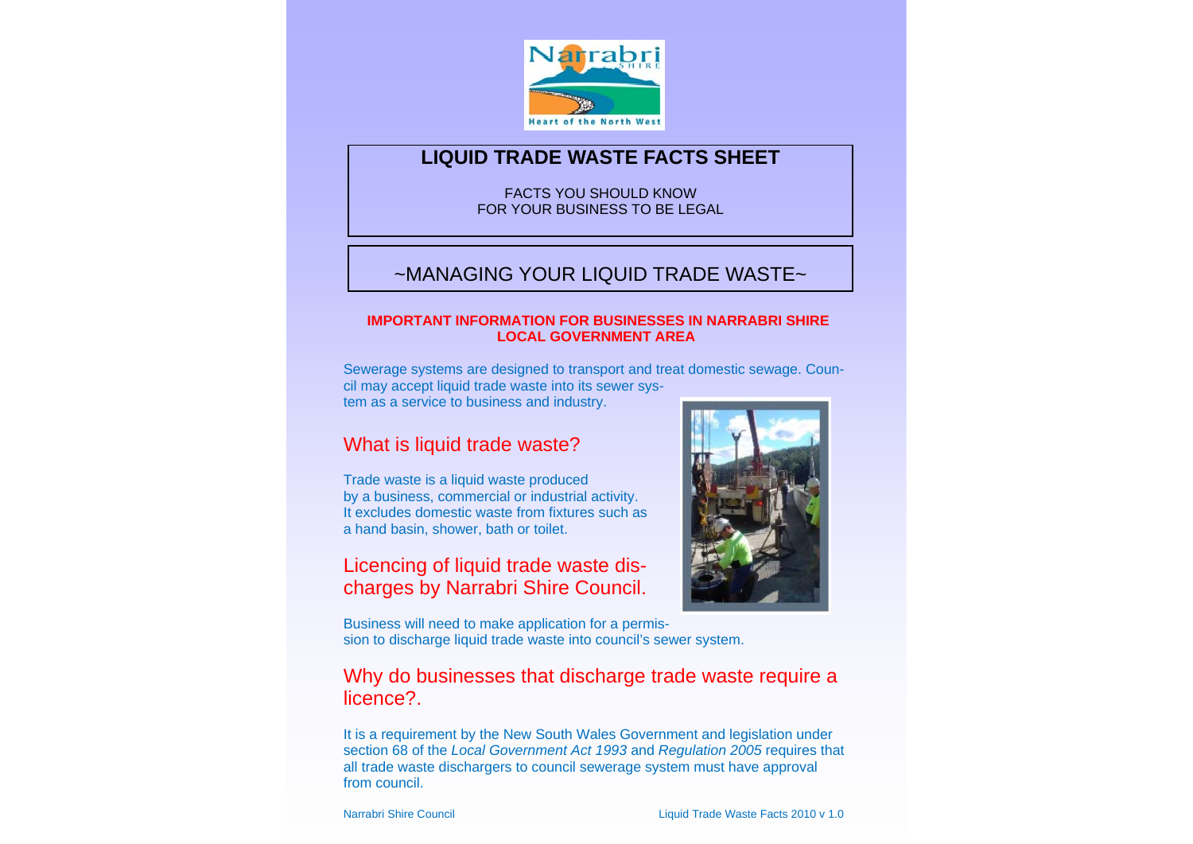

### **LIQUID TRADE WASTE FACTS SHEET**

FACTS YOU SHOULD KNOWFOR YOUR BUSINESS TO BE LEGAL

# ~MANAGING YOUR LIQUID TRADE WASTE~

#### **IMPORTANT INFORMATION FOR BUSINESSES IN NARRABRI SHIRE LOCAL GOVERNMENT AREA**

Sewerage systems are designed to transport and treat domestic sewage. Council may accept liquid trade waste into its sewer system as a service to business and industry.

# What is liquid trade waste?

Trade waste is a liquid waste produced by a business, commercial or industrial activity. It excludes domestic waste from fixtures such as a hand basin, shower, bath or toilet.

# Licencing of liquid trade waste discharges by Narrabri Shire Council.

Business will need to make application for a permission to discharge liquid trade waste into council's sewer system.

### Why do businesses that discharge trade waste require a licence?.

It is a requirement by the New South Wales Government and legislation under section 68 of the *Local Government Act 1993* and *Regulation 2005* requires that all trade waste dischargers to council sewerage system must have approval from council.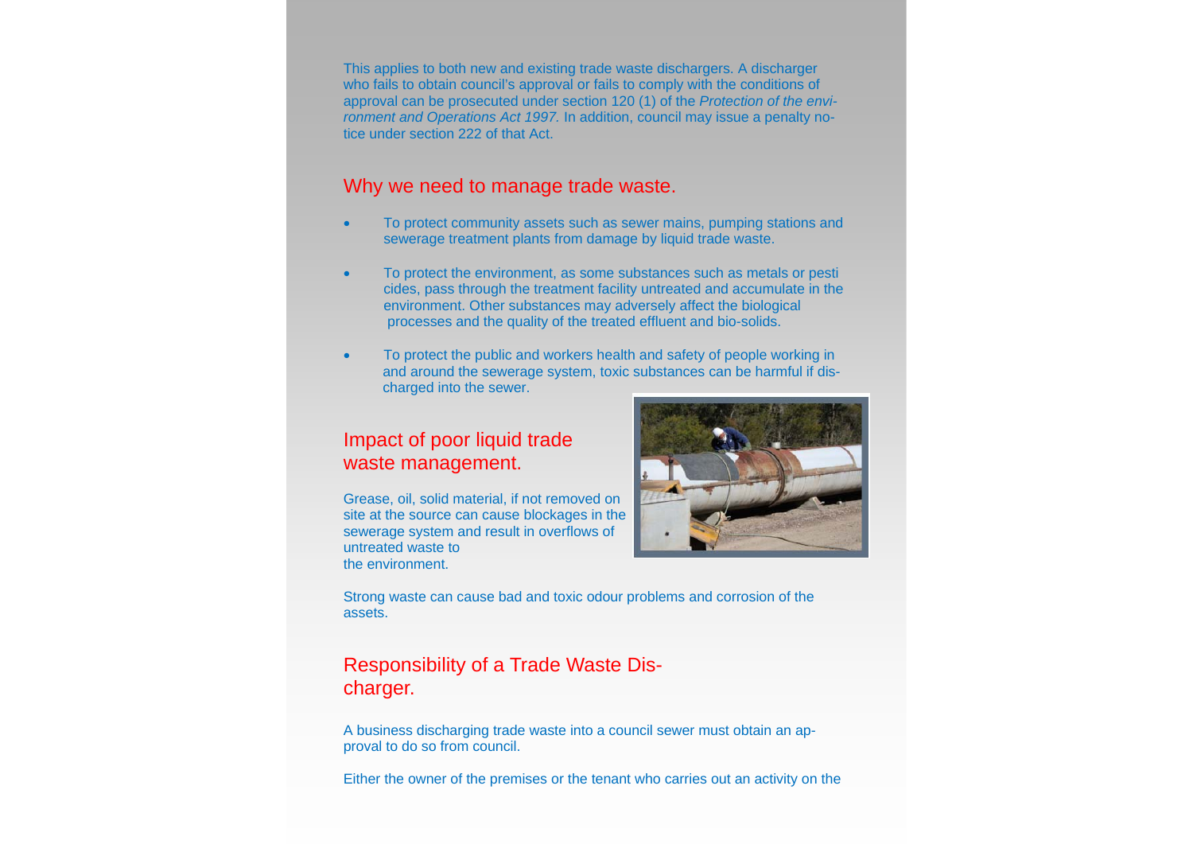This applies to both new and existing trade waste dischargers. A discharger who fails to obtain council's approval or fails to comply with the conditions of approval can be prosecuted under section 120 (1) of the *Protection of the environment and Operations Act 1997.* In addition, council may issue a penalty notice under section 222 of that Act.

### Why we need to manage trade waste.

- $\bullet$  To protect community assets such as sewer mains, pumping stations and sewerage treatment plants from damage by liquid trade waste.
- $\sim$  To protect the environment, as some substances such as metals or pesti cides, pass through the treatment facility untreated and accumulate in the environment. Other substances may adversely affect the biological processes and the quality of the treated effluent and bio-solids.
- $\bullet$  To protect the public and workers health and safety of people working in and around the sewerage system, toxic substances can be harmful if dis charged into the sewer.

#### Impact of poor liquid trade waste management.

Grease, oil, solid material, if not removed on site at the source can cause blockages in the sewerage system and result in overflows of untreated waste to the environment.



Strong waste can cause bad and toxic odour problems and corrosion of the assets.

## Responsibility of a Trade Waste Discharger.

A business discharging trade waste into a council sewer must obtain an approval to do so from council.

Either the owner of the premises or the tenant who carries out an activity on the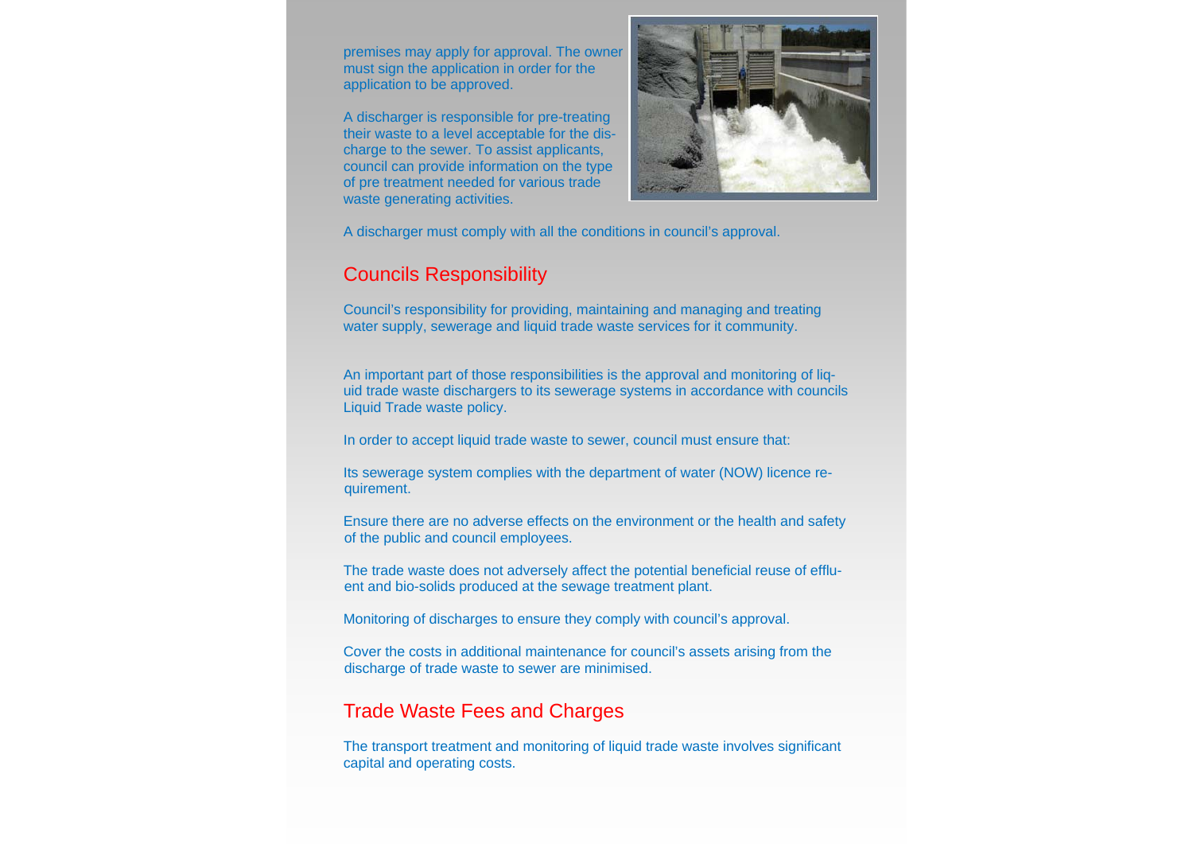premises may apply for approval. The owner must sign the application in order for the application to be approved.

A discharger is responsible for pre-treating their waste to a level acceptable for the discharge to the sewer. To assist applicants, council can provide information on the type of pre treatment needed for various trade waste generating activities.



A discharger must comply with all the conditions in council's approval.

# Councils Responsibility

Council's responsibility for providing, maintaining and managing and treating water supply, sewerage and liquid trade waste services for it community.

An important part of those responsibilities is the approval and monitoring of liquid trade waste dischargers to its sewerage systems in accordance with councils Liquid Trade waste policy.

In order to accept liquid trade waste to sewer, council must ensure that:

Its sewerage system complies with the department of water (NOW) licence requirement.

Ensure there are no adverse effects on the environment or the health and safety of the public and council employees.

The trade waste does not adversely affect the potential beneficial reuse of effluent and bio-solids produced at the sewage treatment plant.

Monitoring of discharges to ensure they comply with council's approval.

Cover the costs in additional maintenance for council's assets arising from the discharge of trade waste to sewer are minimised.

# Trade Waste Fees and Charges

The transport treatment and monitoring of liquid trade waste involves significant capital and operating costs.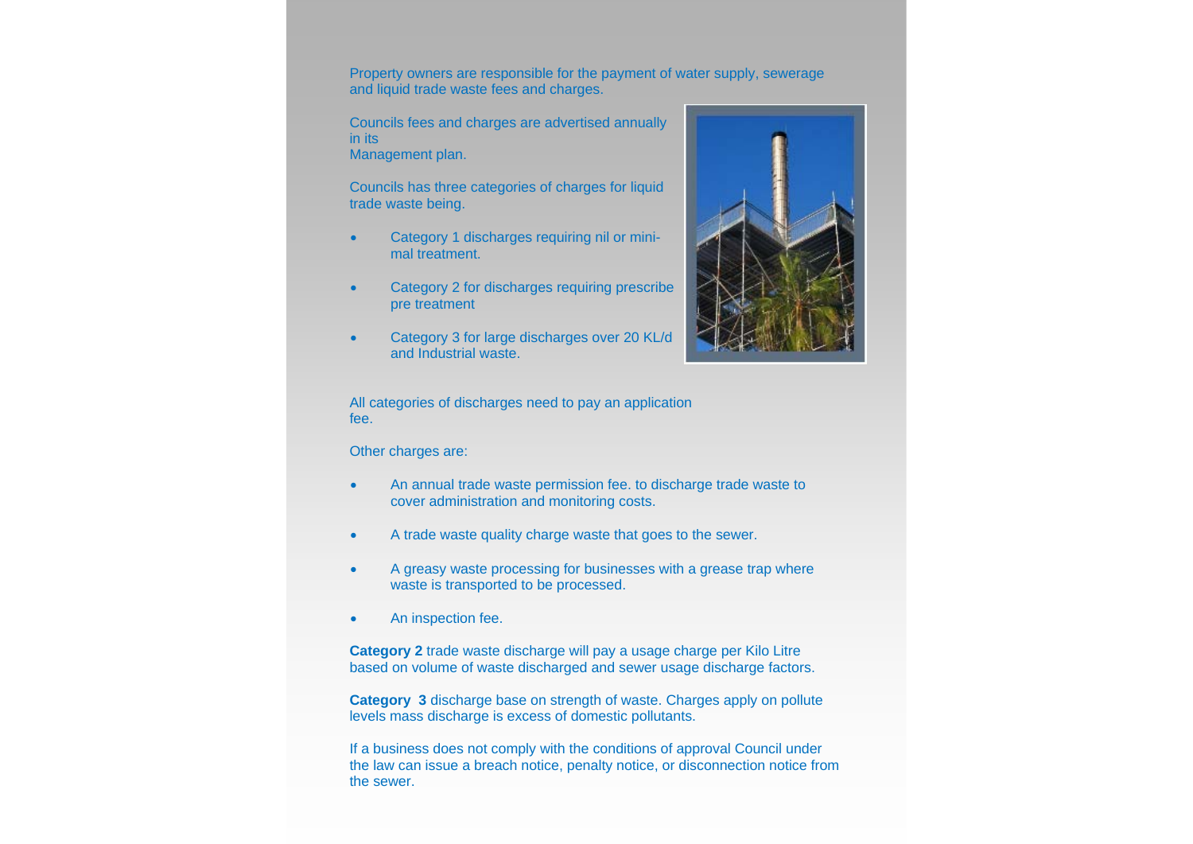Property owners are responsible for the payment of water supply, sewerage and liquid trade waste fees and charges.

Councils fees and charges are advertised annually in its Management plan.

Councils has three categories of charges for liquid trade waste being.

- $\bullet$  Category 1 discharges requiring nil or minimal treatment.
- $\bullet$  Category 2 for discharges requiring prescribe pre treatment
- $\bullet$  Category 3 for large discharges over 20 KL/d and Industrial waste.



All categories of discharges need to pay an application fee.

Other charges are:

- $\bullet$  An annual trade waste permission fee. to discharge trade waste to cover administration and monitoring costs.
- $\bullet$ A trade waste quality charge waste that goes to the sewer.
- $\bullet$  A greasy waste processing for businesses with a grease trap where waste is transported to be processed.
- $\bullet$ An inspection fee.

**Category 2** trade waste discharge will pay a usage charge per Kilo Litre based on volume of waste discharged and sewer usage discharge factors.

**Category 3** discharge base on strength of waste. Charges apply on pollute levels mass discharge is excess of domestic pollutants.

If a business does not comply with the conditions of approval Council under the law can issue a breach notice, penalty notice, or disconnection notice from the sewer.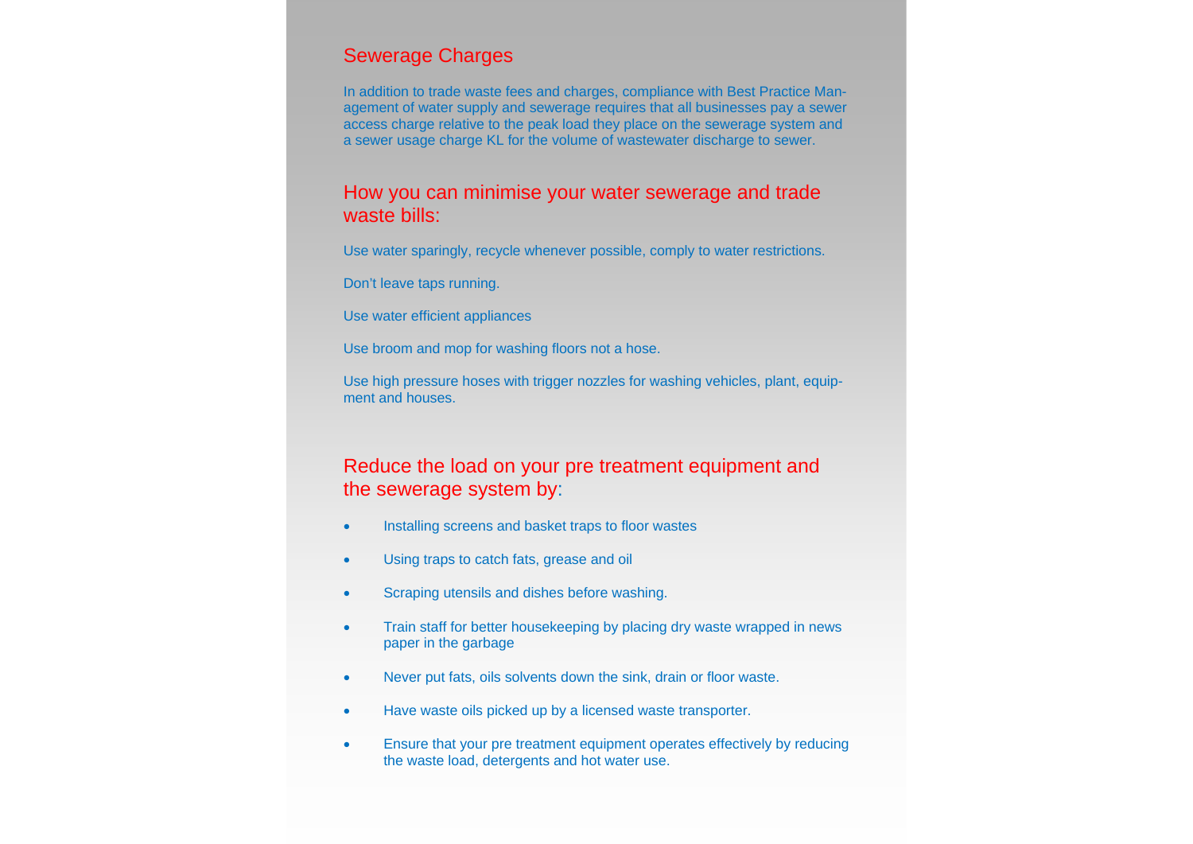## Sewerage Charges

In addition to trade waste fees and charges, compliance with Best Practice Management of water supply and sewerage requires that all businesses pay a sewer access charge relative to the peak load they place on the sewerage system and a sewer usage charge KL for the volume of wastewater discharge to sewer.

#### How you can minimise your water sewerage and trade waste bills:

Use water sparingly, recycle whenever possible, comply to water restrictions.

Don't leave taps running.

Use water efficient appliances

Use broom and mop for washing floors not a hose.

Use high pressure hoses with trigger nozzles for washing vehicles, plant, equipment and houses.

## Reduce the load on your pre treatment equipment and the sewerage system by:

- $\bullet$ Installing screens and basket traps to floor wastes
- $\bullet$ Using traps to catch fats, grease and oil
- $\bullet$ Scraping utensils and dishes before washing.
- $\bullet$  Train staff for better housekeeping by placing dry waste wrapped in news paper in the garbage
- $\bullet$ Never put fats, oils solvents down the sink, drain or floor waste.
- $\blacksquare$ Have waste oils picked up by a licensed waste transporter.
- $\bullet$  Ensure that your pre treatment equipment operates effectively by reducing the waste load, detergents and hot water use.